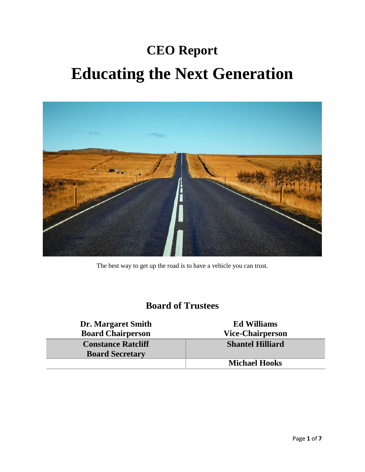# **CEO Report Educating the Next Generation**



The best way to get up the road is to have a vehicle you can trust.

### **Board of Trustees**

| <b>Dr. Margaret Smith</b><br><b>Board Chairperson</b> | <b>Ed Williams</b><br><b>Vice-Chairperson</b> |
|-------------------------------------------------------|-----------------------------------------------|
| <b>Constance Ratcliff</b><br><b>Board Secretary</b>   | <b>Shantel Hilliard</b>                       |
|                                                       | <b>Michael Hooks</b>                          |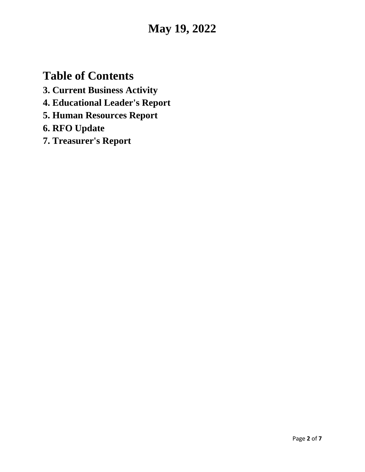# **May 19, 2022**

# **Table of Contents**

- **3. Current Business Activity**
- **4. Educational Leader's Report**
- **5. Human Resources Report**
- **6. RFO Update**
- **7. Treasurer's Report**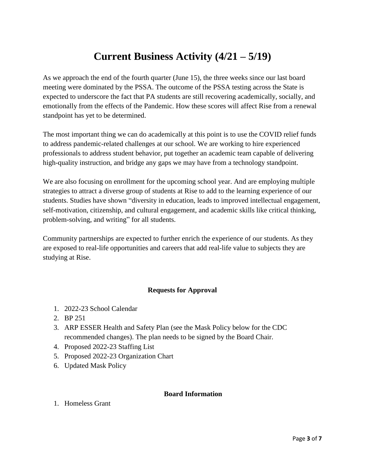# **Current Business Activity (4/21 – 5/19)**

As we approach the end of the fourth quarter (June 15), the three weeks since our last board meeting were dominated by the PSSA. The outcome of the PSSA testing across the State is expected to underscore the fact that PA students are still recovering academically, socially, and emotionally from the effects of the Pandemic. How these scores will affect Rise from a renewal standpoint has yet to be determined.

The most important thing we can do academically at this point is to use the COVID relief funds to address pandemic-related challenges at our school. We are working to hire experienced professionals to address student behavior, put together an academic team capable of delivering high-quality instruction, and bridge any gaps we may have from a technology standpoint.

We are also focusing on enrollment for the upcoming school year. And are employing multiple strategies to attract a diverse group of students at Rise to add to the learning experience of our students. Studies have shown "diversity in education, leads to improved intellectual engagement, self-motivation, citizenship, and cultural engagement, and academic skills like critical thinking, problem-solving, and writing" for all students.

Community partnerships are expected to further enrich the experience of our students. As they are exposed to real-life opportunities and careers that add real-life value to subjects they are studying at Rise.

#### **Requests for Approval**

- 1. 2022-23 School Calendar
- 2. BP 251
- 3. ARP ESSER Health and Safety Plan (see the Mask Policy below for the CDC recommended changes). The plan needs to be signed by the Board Chair.
- 4. Proposed 2022-23 Staffing List
- 5. Proposed 2022-23 Organization Chart
- 6. Updated Mask Policy

#### **Board Information**

1. Homeless Grant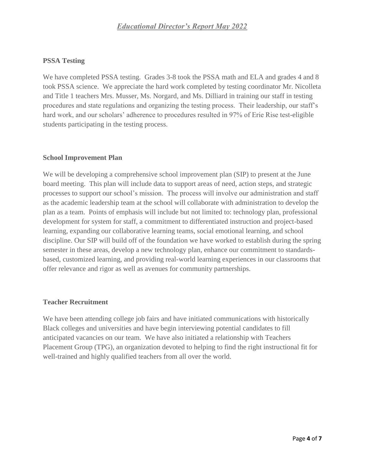#### **PSSA Testing**

We have completed PSSA testing. Grades 3-8 took the PSSA math and ELA and grades 4 and 8 took PSSA science. We appreciate the hard work completed by testing coordinator Mr. Nicolleta and Title 1 teachers Mrs. Musser, Ms. Norgard, and Ms. Dilliard in training our staff in testing procedures and state regulations and organizing the testing process. Their leadership, our staff's hard work, and our scholars' adherence to procedures resulted in 97% of Erie Rise test-eligible students participating in the testing process.

#### **School Improvement Plan**

We will be developing a comprehensive school improvement plan (SIP) to present at the June board meeting. This plan will include data to support areas of need, action steps, and strategic processes to support our school's mission. The process will involve our administration and staff as the academic leadership team at the school will collaborate with administration to develop the plan as a team. Points of emphasis will include but not limited to: technology plan, professional development for system for staff, a commitment to differentiated instruction and project-based learning, expanding our collaborative learning teams, social emotional learning, and school discipline. Our SIP will build off of the foundation we have worked to establish during the spring semester in these areas, develop a new technology plan, enhance our commitment to standardsbased, customized learning, and providing real-world learning experiences in our classrooms that offer relevance and rigor as well as avenues for community partnerships.

#### **Teacher Recruitment**

We have been attending college job fairs and have initiated communications with historically Black colleges and universities and have begin interviewing potential candidates to fill anticipated vacancies on our team. We have also initiated a relationship with Teachers Placement Group (TPG), an organization devoted to helping to find the right instructional fit for well-trained and highly qualified teachers from all over the world.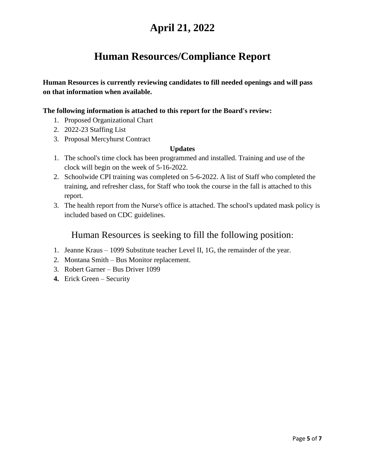# **April 21, 2022**

# **Human Resources/Compliance Report**

**Human Resources is currently reviewing candidates to fill needed openings and will pass on that information when available.**

#### **The following information is attached to this report for the Board's review:**

- 1. Proposed Organizational Chart
- 2. 2022-23 Staffing List
- 3. Proposal Mercyhurst Contract

#### **Updates**

- 1. The school's time clock has been programmed and installed. Training and use of the clock will begin on the week of 5-16-2022.
- 2. Schoolwide CPI training was completed on 5-6-2022. A list of Staff who completed the training, and refresher class, for Staff who took the course in the fall is attached to this report.
- 3. The health report from the Nurse's office is attached. The school's updated mask policy is included based on CDC guidelines.

### Human Resources is seeking to fill the following position:

- 1. Jeanne Kraus 1099 Substitute teacher Level II, 1G, the remainder of the year.
- 2. Montana Smith Bus Monitor replacement.
- 3. Robert Garner Bus Driver 1099
- **4.** Erick Green Security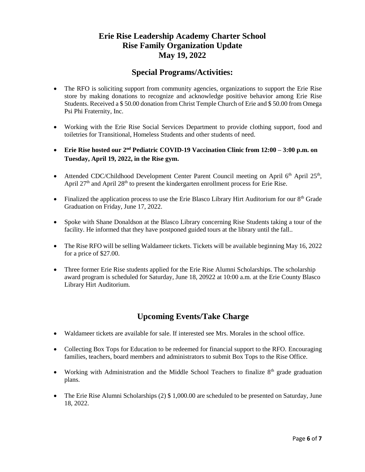### **Erie Rise Leadership Academy Charter School Rise Family Organization Update May 19, 2022**

### **Special Programs/Activities:**

- The RFO is soliciting support from community agencies, organizations to support the Erie Rise store by making donations to recognize and acknowledge positive behavior among Erie Rise Students. Received a \$ 50.00 donation from Christ Temple Church of Erie and \$ 50.00 from Omega Psi Phi Fraternity, Inc.
- Working with the Erie Rise Social Services Department to provide clothing support, food and toiletries for Transitional, Homeless Students and other students of need.
- **Erie Rise hosted our 2nd Pediatric COVID-19 Vaccination Clinic from 12:00 – 3:00 p.m. on Tuesday, April 19, 2022, in the Rise gym.**
- Attended CDC/Childhood Development Center Parent Council meeting on April 6<sup>th</sup> April 25<sup>th</sup>, April  $27<sup>th</sup>$  and April  $28<sup>th</sup>$  to present the kindergarten enrollment process for Erie Rise.
- Finalized the application process to use the Erie Blasco Library Hirt Auditorium for our 8<sup>th</sup> Grade Graduation on Friday, June 17, 2022.
- Spoke with Shane Donaldson at the Blasco Library concerning Rise Students taking a tour of the facility. He informed that they have postponed guided tours at the library until the fall..
- The Rise RFO will be selling Waldameer tickets. Tickets will be available beginning May 16, 2022 for a price of \$27.00.
- Three former Erie Rise students applied for the Erie Rise Alumni Scholarships. The scholarship award program is scheduled for Saturday, June 18, 20922 at 10:00 a.m. at the Erie County Blasco Library Hirt Auditorium.

### **Upcoming Events/Take Charge**

- Waldameer tickets are available for sale. If interested see Mrs. Morales in the school office.
- Collecting Box Tops for Education to be redeemed for financial support to the RFO. Encouraging families, teachers, board members and administrators to submit Box Tops to the Rise Office.
- Working with Administration and the Middle School Teachers to finalize  $8<sup>th</sup>$  grade graduation plans.
- The Erie Rise Alumni Scholarships (2) \$1,000.00 are scheduled to be presented on Saturday, June 18, 2022.